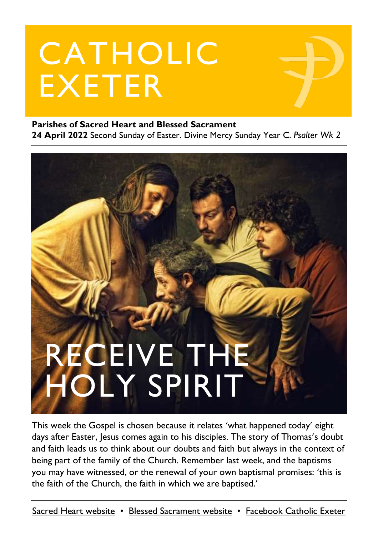# CATHOLIC EXETER

#### **Parishes of Sacred Heart and Blessed Sacrament**

**24 April 2022** Second Sunday of Easter. Divine Mercy Sunday Year C. *Psalter Wk 2*



This week the Gospel is chosen because it relates 'what happened today' eight days after Easter, Jesus comes again to his disciples. The story of Thomas's doubt and faith leads us to think about our doubts and faith but always in the context of being part of the family of the Church. Remember last week, and the baptisms you may have witnessed, or the renewal of your own baptismal promises: 'this is the faith of the Church, the faith in which we are baptised.'

[Sacred Heart website](https://www.sacredheartexeter.org/) • [Blessed Sacrament website](https://www.blessedsacrament.org.uk/) • [Facebook Catholic Exeter](https://www.facebook.com/CatholicExeter)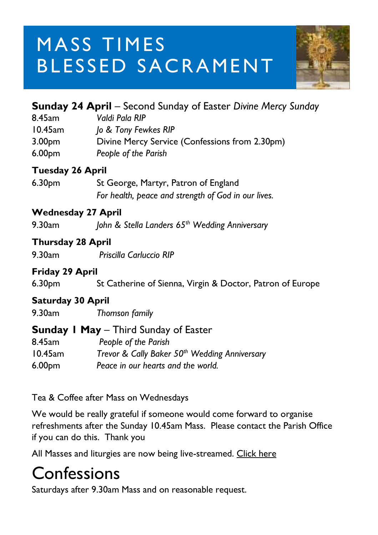# MASS TIMES BLESSED SACRAMENT



|                           | <b>Sunday 24 April</b> – Second Sunday of Easter Divine Mercy Sunday                                                                                  |
|---------------------------|-------------------------------------------------------------------------------------------------------------------------------------------------------|
| 8.45am                    | Valdi Pala RIP                                                                                                                                        |
| 10.45am                   | Jo & Tony Fewkes RIP                                                                                                                                  |
| 3.00 <sub>pm</sub>        | Divine Mercy Service (Confessions from 2.30pm)                                                                                                        |
| 6.00 <sub>pm</sub>        | People of the Parish                                                                                                                                  |
| <b>Tuesday 26 April</b>   |                                                                                                                                                       |
| 6.30 <sub>pm</sub>        | St George, Martyr, Patron of England                                                                                                                  |
|                           | For health, peace and strength of God in our lives.                                                                                                   |
| <b>Wednesday 27 April</b> |                                                                                                                                                       |
| 9.30am                    | John & Stella Landers 65 <sup>th</sup> Wedding Anniversary                                                                                            |
| <b>Thursday 28 April</b>  |                                                                                                                                                       |
| 9.30am                    | Priscilla Carluccio RIP                                                                                                                               |
| Friday 29 April           |                                                                                                                                                       |
| 6.30 <sub>pm</sub>        | St Catherine of Sienna, Virgin & Doctor, Patron of Europe                                                                                             |
| <b>Saturday 30 April</b>  |                                                                                                                                                       |
| 9.30am                    | Thomson family                                                                                                                                        |
|                           | <b>Sunday I May - Third Sunday of Easter</b>                                                                                                          |
| 8.45am                    | People of the Parish                                                                                                                                  |
| 10.45am                   | Trevor & Cally Baker 50th Wedding Anniversary                                                                                                         |
| 6.00 <sub>pm</sub>        | Peace in our hearts and the world.                                                                                                                    |
|                           | Tea & Coffee after Mass on Wednesdays                                                                                                                 |
|                           | We would be really grateful if someone would come forward to organise<br>refreshments after the Sunday 10.45am Mass. Please contact the Parish Office |

if you can do this. Thank you

All Masses and liturgies are now being live-streamed. [Click here](https://www.youtube.com/c/BlessedSacramentExeter)

#### **Confessions**

Saturdays after 9.30am Mass and on reasonable request.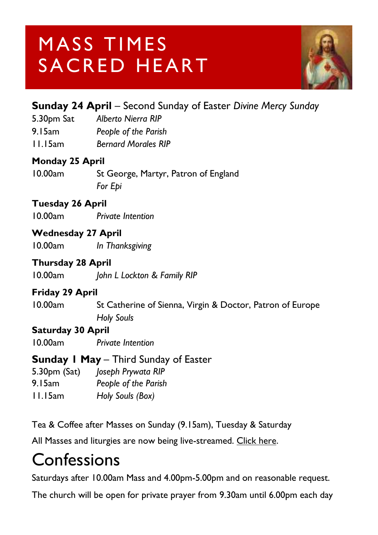## MASS TIMES SACRED HEART



#### **Sunday 24 April** – Second Sunday of Easter *Divine Mercy Sunday*

5.30pm Sat *Alberto Nierra RIP* 9.15am *People of the Parish* 11.15am *Bernard Morales RIP*

#### **Monday 25 April**

10.00am St George, Martyr, Patron of England *For Epi*

#### **Tuesday 26 April**

10.00am *Private Intention*

#### **Wednesday 27 April**

10.00am *In Thanksgiving*

#### **Thursday 28 April**

10.00am *John L Lockton & Family RIP*

#### **Friday 29 April**

10.00am St Catherine of Sienna, Virgin & Doctor, Patron of Europe *Holy Souls*

#### **Saturday 30 April**

10.00am *Private Intention*

#### **Sunday 1 May** – Third Sunday of Easter

5.30pm (Sat) *Joseph Prywata RIP*

9.15am *People of the Parish*

11.15am *Holy Souls (Box)*

Tea & Coffee after Masses on Sunday (9.15am), Tuesday & Saturday

All Masses and liturgies are now being live-streamed. [Click here.](https://www.youtube.com/channel/UCqZLydKWQ6CqG2utRNBeKmA)

#### **Confessions**

Saturdays after 10.00am Mass and 4.00pm-5.00pm and on reasonable request.

The church will be open for private prayer from 9.30am until 6.00pm each day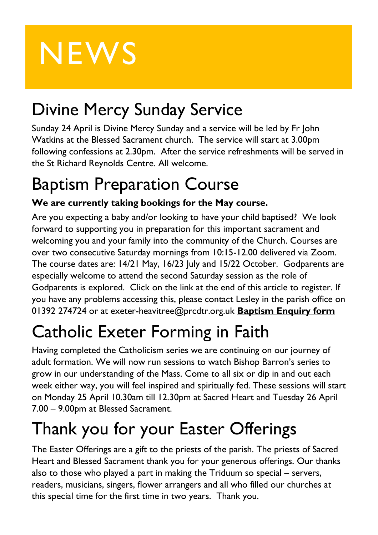# **NEWS**

### Divine Mercy Sunday Service

Sunday 24 April is Divine Mercy Sunday and a service will be led by Fr John Watkins at the Blessed Sacrament church. The service will start at 3.00pm following confessions at 2.30pm. After the service refreshments will be served in the St Richard Reynolds Centre. All welcome.

#### Baptism Preparation Course

#### **We are currently taking bookings for the May course.**

Are you expecting a baby and/or looking to have your child baptised? We look forward to supporting you in preparation for this important sacrament and welcoming you and your family into the community of the Church. Courses are over two consecutive Saturday mornings from 10:15-12.00 delivered via Zoom. The course dates are: 14/21 May, 16/23 July and 15/22 October. Godparents are especially welcome to attend the second Saturday session as the role of Godparents is explored. Click on the link at the end of this article to register. If you have any problems accessing this, please contact Lesley in the parish office on 01392 274724 or at [exeter-heavitree@prcdtr.org.uk](mailto:Exeter-heavitree@prcdtr.org.uk) **[Baptism Enquiry form](https://docs.google.com/forms/d/1bgbx-gDVZaqwyjbRS6c6lJrCh2Jt-5ZQYy-1tPBwM4g/edit)**

# Catholic Exeter Forming in Faith

Having completed the Catholicism series we are continuing on our journey of adult formation. We will now run sessions to watch Bishop Barron's series to grow in our understanding of the Mass. Come to all six or dip in and out each week either way, you will feel inspired and spiritually fed. These sessions will start on Monday 25 April 10.30am till 12.30pm at Sacred Heart and Tuesday 26 April 7.00 – 9.00pm at Blessed Sacrament.

### Thank you for your Easter Offerings

The Easter Offerings are a gift to the priests of the parish. The priests of Sacred Heart and Blessed Sacrament thank you for your generous offerings. Our thanks also to those who played a part in making the Triduum so special – servers, readers, musicians, singers, flower arrangers and all who filled our churches at this special time for the first time in two years. Thank you.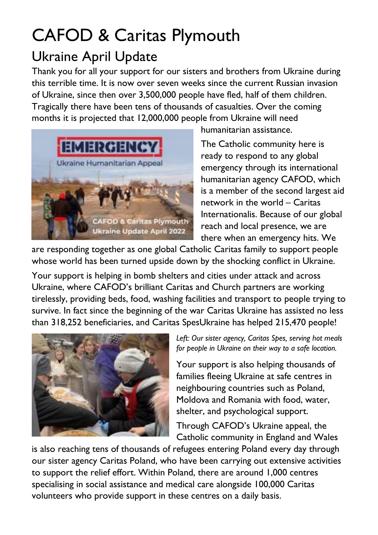### CAFOD & Caritas Plymouth

#### Ukraine April Update

Thank you for all your support for our sisters and brothers from Ukraine during this terrible time. It is now over seven weeks since the current Russian invasion of Ukraine, since then over 3,500,000 people have fled, half of them children. Tragically there have been tens of thousands of casualties. Over the coming months it is projected that 12,000,000 people from Ukraine will need



humanitarian assistance.

The Catholic community here is ready to respond to any global emergency through its international humanitarian agency CAFOD, which is a member of the second largest aid network in the world – Caritas Internationalis. Because of our global reach and local presence, we are there when an emergency hits. We

are responding together as one global Catholic Caritas family to support people whose world has been turned upside down by the shocking conflict in Ukraine.

Your support is helping in bomb shelters and cities under attack and across Ukraine, where CAFOD's brilliant Caritas and Church partners are working tirelessly, providing beds, food, washing facilities and transport to people trying to survive. In fact since the beginning of the war Caritas Ukraine has assisted no less than 318,252 beneficiaries, and Caritas SpesUkraine has helped 215,470 people!



*Left: Our sister agency, Caritas Spes, serving hot meals for people in Ukraine on their way to a safe location.*

Your support is also helping thousands of families fleeing Ukraine at safe centres in neighbouring countries such as Poland, Moldova and Romania with food, water, shelter, and psychological support.

Through CAFOD's Ukraine appeal, the Catholic community in England and Wales

is also reaching tens of thousands of refugees entering Poland every day through our sister agency Caritas Poland, who have been carrying out extensive activities to support the relief effort. Within Poland, there are around 1,000 centres specialising in social assistance and medical care alongside 100,000 Caritas volunteers who provide support in these centres on a daily basis.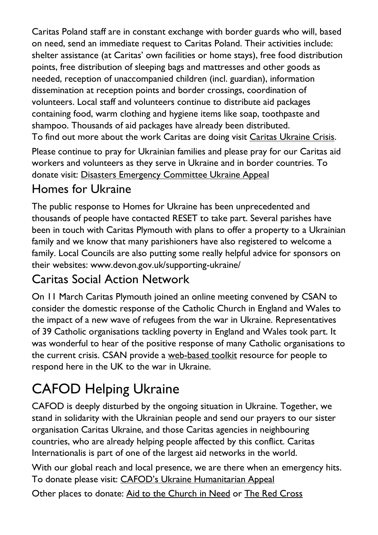Caritas Poland staff are in constant exchange with border guards who will, based on need, send an immediate request to Caritas Poland. Their activities include: shelter assistance (at Caritas' own facilities or home stays), free food distribution points, free distribution of sleeping bags and mattresses and other goods as needed, reception of unaccompanied children (incl. guardian), information dissemination at reception points and border crossings, coordination of volunteers. Local staff and volunteers continue to distribute aid packages containing food, warm clothing and hygiene items like soap, toothpaste and shampoo. Thousands of aid packages have already been distributed. To find out more about the work Caritas are doing visit [Caritas Ukraine Crisis.](https://www.plymouth-diocese.org.uk/ukraine-crisis/)

Please continue to pray for Ukrainian families and please pray for our Caritas aid workers and volunteers as they serve in Ukraine and in border countries. To donate visit: [Disasters Emergency Committee Ukraine Appeal](https://donation.dec.org.uk/ukraine-humanitarian-appeal)

#### Homes for Ukraine

The public response to Homes for Ukraine has been unprecedented and thousands of people have contacted RESET to take part. Several parishes have been in touch with Caritas Plymouth with plans to offer a property to a Ukrainian family and we know that many parishioners have also registered to welcome a family. Local Councils are also putting some really helpful advice for sponsors on their websites: www.devon.gov.uk/supporting-ukraine/

#### Caritas Social Action Network

On 11 March Caritas Plymouth joined an online meeting convened by CSAN to consider the domestic response of the Catholic Church in England and Wales to the impact of a new wave of refugees from the war in Ukraine. Representatives of 39 Catholic organisations tackling poverty in England and Wales took part. It was wonderful to hear of the positive response of many Catholic organisations to the current crisis. CSAN provide a [web-based toolkit](https://www.csan.org.uk/ukraine/) resource for people to respond here in the UK to the war in Ukraine.

#### CAFOD Helping Ukraine

CAFOD is deeply disturbed by the ongoing situation in Ukraine. Together, we stand in solidarity with the Ukrainian people and send our prayers to our sister organisation Caritas Ukraine, and those Caritas agencies in neighbouring countries, who are already helping people affected by this conflict. Caritas Internationalis is part of one of the largest aid networks in the world.

With our global reach and local presence, we are there when an emergency hits. To donate please visit: [CAFOD's Ukraine Humanitarian Appeal](https://cafod.org.uk/donations/picker?defaultuniversaltype=single&_Appeal=123770)

Other places to donate: [Aid to the Church in Need](https://acnuk.org/get-involved/donate/?ps_location=ZZDON-438-UNR-WEB&ps_frequency=one-off&ps_frequency=one-off&donation-amount=) or [The Red Cross](https://donate.redcross.org.uk/appeal/ukrainecrisis-appeal)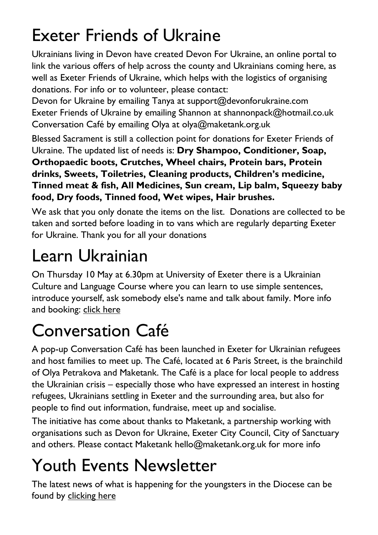### Exeter Friends of Ukraine

Ukrainians living in Devon have created Devon For Ukraine, an online portal to link the various offers of help across the county and Ukrainians coming here, as well as Exeter Friends of Ukraine, which helps with the logistics of organising donations. For info or to volunteer, please contact:

Devon for Ukraine by emailing Tanya at [support@devonforukraine.com](mailto:support@devonforukraine.com) Exeter Friends of Ukraine by emailing Shannon at [shannonpack@hotmail.co.uk](mailto:shannonpack@hotmail.co.uk) Conversation Café by emailing Olya at [olya@maketank.org.uk](mailto:olya@maketank.org.uk)

Blessed Sacrament is still a collection point for donations for Exeter Friends of Ukraine. The updated list of needs is: **Dry Shampoo, Conditioner, Soap, Orthopaedic boots, Crutches, Wheel chairs, Protein bars, Protein drinks, Sweets, Toiletries, Cleaning products, Children's medicine, Tinned meat & fish, All Medicines, Sun cream, Lip balm, Squeezy baby food, Dry foods, Tinned food, Wet wipes, Hair brushes.**

We ask that you only donate the items on the list. Donations are collected to be taken and sorted before loading in to vans which are regularly departing Exeter for Ukraine. Thank you for all your donations

### Learn Ukrainian

On Thursday 10 May at 6.30pm at University of Exeter there is a Ukrainian Culture and Language Course where you can learn to use simple sentences, introduce yourself, ask somebody else's name and talk about family. More info and booking: [click here](https://humanities.exeter.ac.uk/flc/evening/languages/)

### Conversation Café

A pop-up Conversation Café has been launched in Exeter for Ukrainian refugees and host families to meet up. The Café, located at 6 Paris Street, is the brainchild of Olya Petrakova and Maketank. The Café is a place for local people to address the Ukrainian crisis – especially those who have expressed an interest in hosting refugees, Ukrainians settling in Exeter and the surrounding area, but also for people to find out information, fundraise, meet up and socialise.

The initiative has come about thanks to Maketank, a partnership working with organisations such as Devon for Ukraine, Exeter City Council, City of Sanctuary and others. Please contact Maketank [hello@maketank.org.uk](mailto:hello@maketank.org.uk) for more info

## Youth Events Newsletter

The latest news of what is happening for the youngsters in the Diocese can be found by [clicking here](https://email.workwithgusto.co.uk/t/t-A6F98318701C324C2540EF23F30FEDED)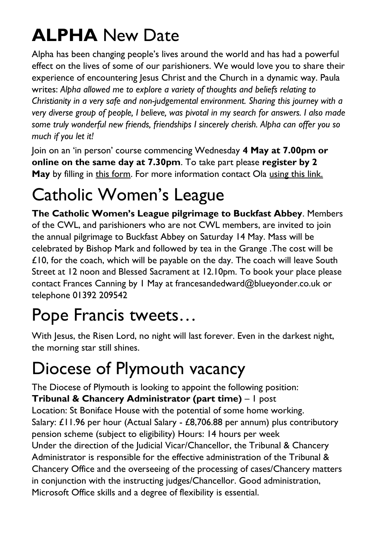## **ALPHA** New Date

Alpha has been changing people's lives around the world and has had a powerful effect on the lives of some of our parishioners. We would love you to share their experience of encountering Jesus Christ and the Church in a dynamic way. Paula writes: *Alpha allowed me to explore a variety of thoughts and beliefs relating to Christianity in a very safe and non-judgemental environment. Sharing this journey with a very diverse group of people, I believe, was pivotal in my search for answers. I also made some truly wonderful new friends, friendships I sincerely cherish. Alpha can offer you so much if you let it!*

Join on an 'in person' course commencing Wednesday **4 May at 7.00pm or online on the same day at 7.30pm**. To take part please **register by 2 May** by filling in this form. For more information contact Ola [using this link.](file:///C:/Users/jonathanstewart/Documents/1%20Catholic%20Exeter/Newsletter/2022/4.10/ola.godbeer@gmail.com)

### Catholic Women's League

**The Catholic Women's League pilgrimage to Buckfast Abbey**. Members of the CWL, and parishioners who are not CWL members, are invited to join the annual pilgrimage to Buckfast Abbey on Saturday 14 May. Mass will be celebrated by Bishop Mark and followed by tea in the Grange .The cost will be  $£10$ , for the coach, which will be payable on the day. The coach will leave South Street at 12 noon and Blessed Sacrament at 12.10pm. To book your place please contact Frances Canning by 1 May at [francesandedward@blueyonder.co.uk](mailto:francesandedward@blueyonder.co.uk) or telephone 01392 209542

#### Pope Francis tweets…

With Jesus, the Risen Lord, no night will last forever. Even in the darkest night, the morning star still shines.

### Diocese of Plymouth vacancy

The Diocese of Plymouth is looking to appoint the following position:

**Tribunal & Chancery Administrator (part time)** – 1 post

Location: St Boniface House with the potential of some home working. Salary: £11.96 per hour (Actual Salary - £8,706.88 per annum) plus contributory pension scheme (subject to eligibility) Hours: 14 hours per week Under the direction of the Judicial Vicar/Chancellor, the Tribunal & Chancery Administrator is responsible for the effective administration of the Tribunal & Chancery Office and the overseeing of the processing of cases/Chancery matters in conjunction with the instructing judges/Chancellor. Good administration, Microsoft Office skills and a degree of flexibility is essential.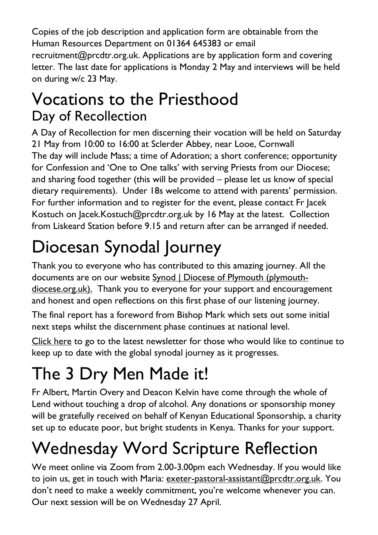Copies of the job description and application form are obtainable from the Human Resources Department on 01364 645383 or email recruitment@prcdtr.org.uk. Applications are by application form and covering letter. The last date for applications is Monday 2 May and interviews will be held on during w/c 23 May.

#### Vocations to the Priesthood Day of Recollection

A Day of Recollection for men discerning their vocation will be held on Saturday 21 May from 10:00 to 16:00 at Sclerder Abbey, near Looe, Cornwall The day will include Mass; a time of Adoration; a short conference; opportunity for Confession and 'One to One talks' with serving Priests from our Diocese; and sharing food together (this will be provided – please let us know of special dietary requirements). Under 18s welcome to attend with parents' permission. For further information and to register for the event, please contact Fr Jacek Kostuch on [Jacek.Kostuch@prcdtr.org.uk](mailto:Jacek.Kostuch@prcdtr.org.uk) by 16 May at the latest. Collection from Liskeard Station before 9.15 and return after can be arranged if needed.

# Diocesan Synodal Journey

Thank you to everyone who has contributed to this amazing journey. All the documents are on our website [Synod | Diocese of Plymouth \(plymouth](https://www.plymouth-diocese.org.uk/synod/)[diocese.org.uk\).](https://www.plymouth-diocese.org.uk/synod/) Thank you to everyone for your support and encouragement and honest and open reflections on this first phase of our listening journey.

The final report has a foreword from Bishop Mark which sets out some initial next steps whilst the discernment phase continues at national level.

[Click here](https://www.plymouth-diocese.org.uk/wp-content/uploads/2022/04/April-newsletter-2022.pdf) to go to the latest newsletter for those who would like to continue to keep up to date with the global synodal journey as it progresses.

# The 3 Dry Men Made it!

Fr Albert, Martin Overy and Deacon Kelvin have come through the whole of Lend without touching a drop of alcohol. Any donations or sponsorship money will be gratefully received on behalf of Kenyan Educational Sponsorship, a charity set up to educate poor, but bright students in Kenya. Thanks for your support.

### Wednesday Word Scripture Reflection

We meet online via Zoom from 2.00-3.00pm each Wednesday. If you would like to join us, get in touch with Maria: [exeter-pastoral-assistant@prcdtr.org.uk.](mailto:exeter-pastoral-assistant@prcdtr.org.uk) You don't need to make a weekly commitment, you're welcome whenever you can. Our next session will be on Wednesday 27 April.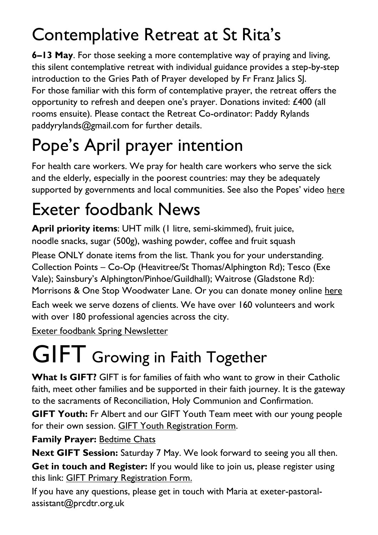## Contemplative Retreat at St Rita's

**6–13 May**. For those seeking a more contemplative way of praying and living, this silent contemplative retreat with individual guidance provides a step-by-step introduction to the Gries Path of Prayer developed by Fr Franz Jalics SJ. For those familiar with this form of contemplative prayer, the retreat offers the opportunity to refresh and deepen one's prayer. Donations invited: £400 (all rooms ensuite). Please contact the Retreat Co-ordinator: Paddy Rylands paddyrylands@gmail.com for further details.

# Pope's April prayer intention

For health care workers. We pray for health care workers who serve the sick and the elderly, especially in the poorest countries: may they be adequately supported by governments and local communities. See also the Popes' video [here](https://thepopevideo.org/)

## Exeter foodbank News

**April priority items**: UHT milk (1 litre, semi-skimmed), fruit juice, noodle snacks, sugar (500g), washing powder, coffee and fruit squash

Please ONLY donate items from the list. Thank you for your understanding. Collection Points – Co-Op (Heavitree/St Thomas/Alphington Rd); Tesco (Exe Vale); Sainsbury's Alphington/Pinhoe/Guildhall); Waitrose (Gladstone Rd): Morrisons & One Stop Woodwater Lane. Or you can donate money online [here](https://uk.virginmoneygiving.com/charity-web/charity/finalCharityHomepage.action?charityId=1016975&_ga=2.106832579.1384579075.1617955505-1667813714.1617955505) Each week we serve dozens of clients. We have over 160 volunteers and work

with over 180 professional agencies across the city.

[Exeter foodbank Spring Newsletter](https://exeter.foodbank.org.uk/wp-content/uploads/sites/368/2022/04/EFBNewsletterSpring2022V5.pdf)

# **GIFT** Growing in Faith Together

**What Is GIFT?** GIFT is for families of faith who want to grow in their Catholic faith, meet other families and be supported in their faith journey. It is the gateway to the sacraments of Reconciliation, Holy Communion and Confirmation.

**GIFT Youth:** Fr Albert and our GIFT Youth Team meet with our young people for their own session. GIFT Youth [Registration](https://docs.google.com/forms/d/1js2AU2QewgH1ui7kjv2-mKDJcyulRGa34G-Eo3ao8FI/edit) Form.

#### **Family Prayer: [Bedtime Chats](https://www.blessedsacrament.org.uk/parish-life/gift/)**

**Next GIFT Session:** Saturday 7 May. We look forward to seeing you all then.

**Get in touch and Register:** If you would like to join us, please register using this link: [GIFT Primary Registration Form.](https://docs.google.com/forms/d/1Qs8jP69t9hS5V3ukZvm34yn8pDZdS0iDYrhXY_j8pMQ/edit)

If you have any questions, please get in touch with Maria at [exeter-pastoral](mailto:exeter-pastoral-assistant@prcdtr.org.uk)[assistant@prcdtr.org.uk](mailto:exeter-pastoral-assistant@prcdtr.org.uk)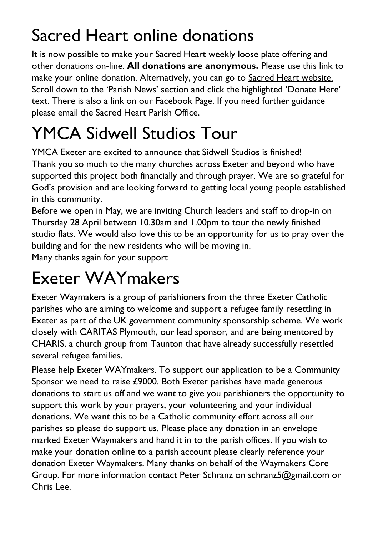### Sacred Heart online donations

It is now possible to make your Sacred Heart weekly loose plate offering and other donations on-line. **All donations are anonymous.** Please use [this link](https://givealittle.co/campaigns/f94e8739-d2fd-4ce6-9fca60470ef39403) to make your online donation. Alternatively, you can go to [Sacred Heart website.](https://www.sacredheartexeter.org/) Scroll down to the 'Parish News' section and click the highlighted 'Donate Here' text. There is also a link on our [Facebook Page.](https://www.facebook.com/Sacred-HeartCatholic-Church-Exeter-422138011310698) If you need further guidance please email the Sacred Heart Parish Office.

# YMCA Sidwell Studios Tour

YMCA Exeter are excited to announce that Sidwell Studios is finished! Thank you so much to the many churches across Exeter and beyond who have supported this project both financially and through prayer. We are so grateful for God's provision and are looking forward to getting local young people established in this community.

Before we open in May, we are inviting Church leaders and staff to drop-in on Thursday 28 April between 10.30am and 1.00pm to tour the newly finished studio flats. We would also love this to be an opportunity for us to pray over the building and for the new residents who will be moving in.

Many thanks again for your support

### Exeter WAYmakers

Exeter Waymakers is a group of parishioners from the three Exeter Catholic parishes who are aiming to welcome and support a refugee family resettling in Exeter as part of the UK government community sponsorship scheme. We work closely with CARITAS Plymouth, our lead sponsor, and are being mentored by CHARIS, a church group from Taunton that have already successfully resettled several refugee families.

Please help Exeter WAYmakers. To support our application to be a Community Sponsor we need to raise £9000. Both Exeter parishes have made generous donations to start us off and we want to give you parishioners the opportunity to support this work by your prayers, your volunteering and your individual donations. We want this to be a Catholic community effort across all our parishes so please do support us. Please place any donation in an envelope marked Exeter Waymakers and hand it in to the parish offices. If you wish to make your donation online to a parish account please clearly reference your donation Exeter Waymakers. Many thanks on behalf of the Waymakers Core Group. For more information contact Peter Schranz on schranz5@gmail.com or Chris Lee.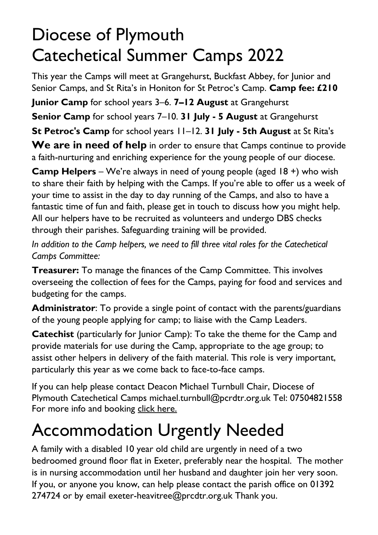#### Diocese of Plymouth Catechetical Summer Camps 2022

This year the Camps will meet at Grangehurst, Buckfast Abbey, for Junior and Senior Camps, and St Rita's in Honiton for St Petroc's Camp. **Camp fee: £210 Junior Camp** for school years 3–6. **7–12 August** at Grangehurst

**Senior Camp** for school years 7–10. **31 July - 5 August** at Grangehurst

**St Petroc's Camp** for school years 11–12. **31 July - 5th August** at St Rita's

**We are in need of help** in order to ensure that Camps continue to provide a faith-nurturing and enriching experience for the young people of our diocese.

**Camp Helpers** – We're always in need of young people (aged 18 +) who wish to share their faith by helping with the Camps. If you're able to offer us a week of your time to assist in the day to day running of the Camps, and also to have a fantastic time of fun and faith, please get in touch to discuss how you might help. All our helpers have to be recruited as volunteers and undergo DBS checks through their parishes. Safeguarding training will be provided.

*In addition to the Camp helpers, we need to fill three vital roles for the Catechetical Camps Committee:*

**Treasurer:** To manage the finances of the Camp Committee. This involves overseeing the collection of fees for the Camps, paying for food and services and budgeting for the camps.

**Administrator**: To provide a single point of contact with the parents/guardians of the young people applying for camp; to liaise with the Camp Leaders.

**Catechist** (particularly for Junior Camp): To take the theme for the Camp and provide materials for use during the Camp, appropriate to the age group; to assist other helpers in delivery of the faith material. This role is very important, particularly this year as we come back to face-to-face camps.

If you can help please contact Deacon Michael Turnbull Chair, Diocese of Plymouth Catechetical Camps michael.turnbull@pcrdtr.org.uk Tel: 07504821558 For more info and booking [click here.](https://www.exeter-cathedral.org.uk/whats-on/events/j-s-bach-st-john-passion-20220410-160000/)

#### Accommodation Urgently Needed

A family with a disabled 10 year old child are urgently in need of a two bedroomed ground floor flat in Exeter, preferably near the hospital. The mother is in nursing accommodation until her husband and daughter join her very soon. If you, or anyone you know, can help please contact the parish office on 01392 274724 or by email exeter-heavitree@prcdtr.org.uk Thank you.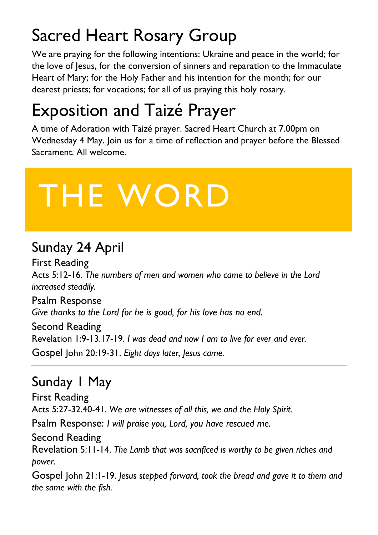### Sacred Heart Rosary Group

We are praying for the following intentions: Ukraine and peace in the world; for the love of Jesus, for the conversion of sinners and reparation to the Immaculate Heart of Mary; for the Holy Father and his intention for the month; for our dearest priests; for vocations; for all of us praying this holy rosary.

### Exposition and Taizé Prayer

A time of Adoration with Taizé prayer. Sacred Heart Church at 7.00pm on Wednesday 4 May. Join us for a time of reflection and prayer before the Blessed Sacrament. All welcome.

# THE WORD

#### Sunday 24 April

First Reading Acts 5:12-16. *The numbers of men and women who came to believe in the Lord increased steadily.* Psalm Response *Give thanks to the Lord for he is good, for his love has no end.*

Second Reading Revelation 1:9-13.17-19. *I was dead and now I am to live for ever and ever.* Gospel John 20:19-31. *Eight days later, Jesus came.*

#### Sunday 1 May

First Reading Acts 5:27-32.40-41. *We are witnesses of all this, we and the Holy Spirit.* Psalm Response: *I will praise you, Lord, you have rescued me.* Second Reading

Revelation 5:11-14. *The Lamb that was sacrificed is worthy to be given riches and power.*

Gospel John 21:1-19. *Jesus stepped forward, took the bread and gave it to them and the same with the fish.*